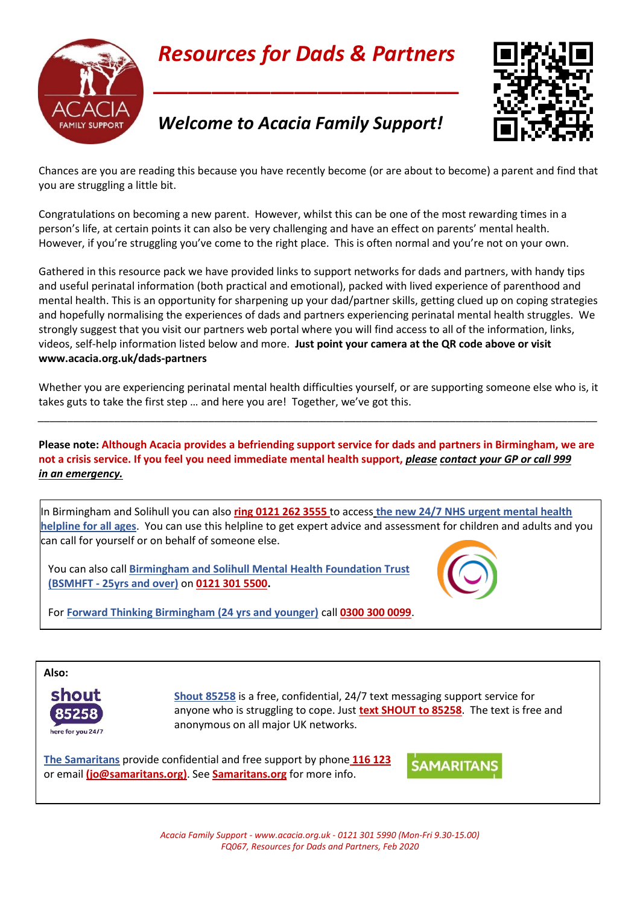

# *Resources for Dads & Partners*

**\_\_\_\_\_\_\_\_\_\_\_\_\_\_\_\_\_\_\_\_\_\_\_\_\_\_**



## *Welcome to Acacia Family Support!*

Chances are you are reading this because you have recently become (or are about to become) a parent and find that you are struggling a little bit.

Congratulations on becoming a new parent. However, whilst this can be one of the most rewarding times in a person's life, at certain points it can also be very challenging and have an effect on parents' mental health. However, if you're struggling you've come to the right place. This is often normal and you're not on your own.

Gathered in this resource pack we have provided links to support networks for dads and partners, with handy tips and useful perinatal information (both practical and emotional), packed with lived experience of parenthood and mental health. This is an opportunity for sharpening up your dad/partner skills, getting clued up on coping strategies and hopefully normalising the experiences of dads and partners experiencing perinatal mental health struggles. We strongly suggest that you visit our partners web portal where you will find access to all of the information, links, videos, self-help information listed below and more. **Just point your camera at the QR code above or visit www.acacia.org.uk/dads-partners**

Whether you are experiencing perinatal mental health difficulties yourself, or are supporting someone else who is, it takes guts to take the first step … and here you are! Together, we've got this.

*\_\_\_\_\_\_\_\_\_\_\_\_\_\_\_\_\_\_\_\_\_\_\_\_\_\_\_\_\_\_\_\_\_\_\_\_\_\_\_\_\_\_\_\_\_\_\_\_\_\_\_\_\_\_\_\_\_\_\_\_\_\_\_\_\_\_\_\_\_\_\_\_\_\_\_\_\_\_\_\_\_\_\_\_\_\_\_\_\_\_\_\_\_\_\_*

**Please note: Although Acacia provides a befriending support service for dads and partners in Birmingham, we are not a crisis service. If you feel you need immediate mental health support,** *please contact your GP or call 999 in an emergency.*

In Birmingham and Solihull you can also **ring 0121 262 3555** to access **the new 24/7 NHS urgent mental health helpline for all ages**. You can use this helpline to get expert advice and assessment for children and adults and you can call for yourself or on behalf of someone else.



You can also call **Birmingham and Solihull Mental Health Foundation Trust (BSMHFT - 25yrs and over)** on **0121 301 5500.**

For **Forward Thinking Birmingham (24 yrs and younger)** call **0300 300 0099**.



**Shout 85258** is a free, confidential, 24/7 text messaging support service for anyone who is struggling to cope. Just **text SHOUT to 85258**. The text is free and anonymous on all major UK networks.

**The Samaritans** provide confidential and free support by phone **116 123**  or email **[\(jo@samaritans.org\)](mailto:jo@samaritans.org)**. See **Samaritans.org** for more info.



*Acacia Family Support - www.acacia.org.uk - 0121 301 5990 (Mon-Fri 9.30-15.00) FQ067, Resources for Dads and Partners, Feb 2020*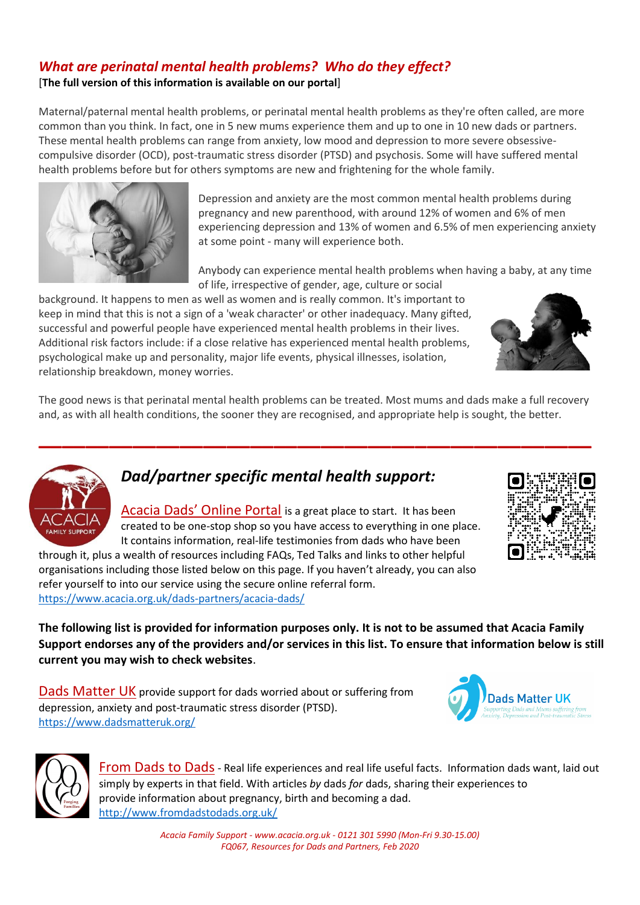### *What are perinatal mental health problems? Who do they effect?*

[**The full version of this information is available on our portal**]

Maternal/paternal mental health problems, or perinatal mental health problems as they're often called, are more common than you think. In fact, one in 5 new mums experience them and up to one in 10 new dads or partners. These mental health problems can range from anxiety, low mood and depression to more severe obsessivecompulsive disorder (OCD), post-traumatic stress disorder (PTSD) and psychosis. Some will have suffered mental health problems before but for others symptoms are new and frightening for the whole family.



Depression and anxiety are the most common mental health problems during pregnancy and new parenthood, with around 12% of women and 6% of men experiencing depression and 13% of women and 6.5% of men experiencing anxiety at some point - many will experience both.

Anybody can experience mental health problems when having a baby, at any time of life, irrespective of gender, age, culture or social

background. It happens to men as well as women and is really common. It's important to keep in mind that this is not a sign of a 'weak character' or other inadequacy. Many gifted, successful and powerful people have experienced mental health problems in their lives. Additional risk factors include: if a close relative has experienced mental health problems, psychological make up and personality, major life events, physical illnesses, isolation, relationship breakdown, money worries.

The good news is that perinatal mental health problems can be treated. Most mums and dads make a full recovery and, as with all health conditions, the sooner they are recognised, and appropriate help is sought, the better.

**\_\_\_\_\_\_\_\_\_\_\_\_\_\_\_\_\_\_\_\_\_\_\_\_\_\_\_\_\_\_\_\_\_\_\_\_\_\_\_\_\_\_\_\_\_\_\_**



## *Dad/partner specific mental health support:*

Acacia Dads' Online Portal is a great place to start. It has been created to be one-stop shop so you have access to everything in one place. It contains information, real-life testimonies from dads who have been

through it, plus a wealth of resources including FAQs, Ted Talks and links to other helpful organisations including those listed below on this page. If you haven't already, you can also refer yourself to into our service using the secure online referral form. <https://www.acacia.org.uk/dads-partners/acacia-dads/>

**The following list is provided for information purposes only. It is not to be assumed that Acacia Family Support endorses any of the providers and/or services in this list. To ensure that information below is still current you may wish to check websites**.

[Dads Matter UK](http://www.dadsmatteruk.org/) provide support for dads worried about or suffering from depression, anxiety and post-traumatic stress disorder (PTSD). <https://www.dadsmatteruk.org/>





[From Dads to Dads](http://www.fromdadstodads.org.uk/)- Real life experiences and real life useful facts. Information dads want, laid out simply by experts in that field. With articles *by* dads *for* dads, sharing their experiences to provide information about pregnancy, birth and becoming a dad. <http://www.fromdadstodads.org.uk/>

> *Acacia Family Support - www.acacia.org.uk - 0121 301 5990 (Mon-Fri 9.30-15.00) FQ067, Resources for Dads and Partners, Feb 2020*

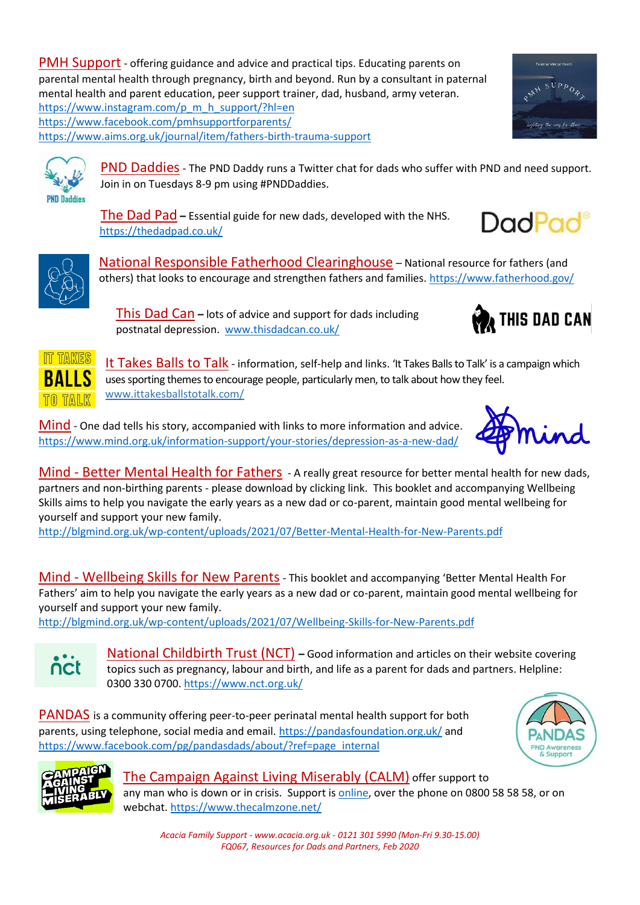PMH Support - offering guidance and advice and practical tips. Educating parents on parental mental health through pregnancy, birth and beyond. Run by a consultant in paternal mental health and parent education, peer support trainer, dad, husband, army veteran. [https://www.instagram.com/p\\_m\\_h\\_support/?hl=en](https://www.instagram.com/p_m_h_support/?hl=en) <https://www.facebook.com/pmhsupportforparents/> <https://www.aims.org.uk/journal/item/fathers-birth-trauma-support>



The Dad Pad **–** Essential guide for new dads, developed with the NHS. <https://thedadpad.co.uk/>

National Responsible Fatherhood Clearinghouse – National resource for fathers (and others) that looks to encourage and strengthen fathers and families. <https://www.fatherhood.gov/>

This Dad Can **–** lots of advice and support for dads including postnatal depression. [www.thisdadcan.co.uk/](http://www.thisdadcan.co.uk/)

It Takes Balls to Talk - information, self-help and links. 'It Takes Balls to Talk' is a campaign which uses sporting themes to encourage people, particularly men, to talk about how they feel. [www.ittakesballstotalk.com/](http://www.ittakesballstotalk.com/)

Mind - One dad tells his story, accompanied with links to more information and advice. <https://www.mind.org.uk/information-support/your-stories/depression-as-a-new-dad/>

Mind - [Better Mental Health for Fathers](http://blgmind.org.uk/wp-content/uploads/2021/07/Better-Mental-Health-for-New-Parents.pdf) - A really great resource for better mental health for new dads, partners and non-birthing parents - please download by clicking link. This booklet and accompanying Wellbeing Skills aims to help you navigate the early years as a new dad or co-parent, maintain good mental wellbeing for yourself and support your new family.

<http://blgmind.org.uk/wp-content/uploads/2021/07/Better-Mental-Health-for-New-Parents.pdf>

Mind - [Wellbeing Skills for New Parents](http://blgmind.org.uk/wp-content/uploads/2021/07/Wellbeing-Skills-for-New-Parents.pdf)- This booklet and accompanying 'Better Mental Health For Fathers' aim to help you navigate the early years as a new dad or co-parent, maintain good mental wellbeing for yourself and support your new family.

<http://blgmind.org.uk/wp-content/uploads/2021/07/Wellbeing-Skills-for-New-Parents.pdf>

National Childbirth Trust (NCT) **–** Good information and articles on their website covering topics such as pregnancy, labour and birth, and life as a parent for dads and partners. Helpline: 0300 330 0700.<https://www.nct.org.uk/>

[PANDAS](http://pandasfoundation.org.uk/) is a community offering peer-to-peer perinatal mental health support for both parents, using telephone, social media and email. <https://pandasfoundation.org.uk/> and [https://www.facebook.com/pg/pandasdads/about/?ref=page\\_internal](https://www.facebook.com/pg/pandasdads/about/?ref=page_internal)





 $\bullet$ nct

> [The Campaign Against Living Miserably \(CALM\)](https://www.thecalmzone.net/) offer support to any man who is down or in crisis. Support is [online,](file:///C:/Users/RobEwers/AppData/Local/Microsoft/Windows/INetCache/Content.Outlook/N5UKB48V/online) over the phone on 0800 58 58 58, or on webchat. <https://www.thecalmzone.net/>

*Acacia Family Support - www.acacia.org.uk - 0121 301 5990 (Mon-Fri 9.30-15.00) FQ067, Resources for Dads and Partners, Feb 2020*



**IT TAKES RAILS** 

**PND Daddies** 



THIS DAD CAN

**DadPad**<sup>®</sup>



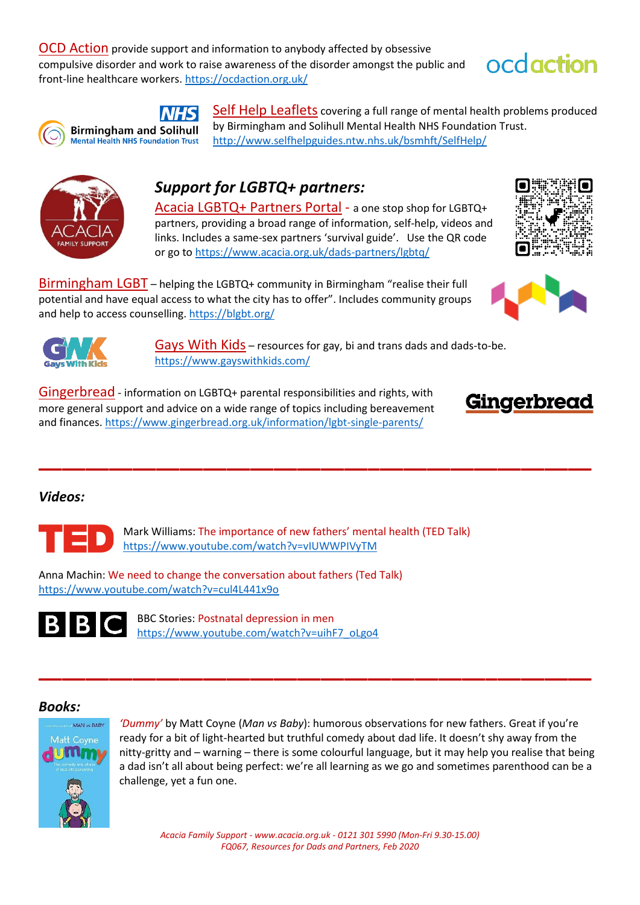[OCD Action](http://ocdaction.org.uk/) provide support and information to anybody affected by obsessive compulsive disorder and work to raise awareness of the disorder amongst the public and front-line healthcare workers. <https://ocdaction.org.uk/>





**NHS Birmingham and Solihull** 

**Mental Health NHS Foundation Trust** 

[Self Help Leaflets](http://www.selfhelpguides.ntw.nhs.uk/bsmhft/SelfHelp) covering a full range of mental health problems produced by Birmingham and Solihull Mental Health NHS Foundation Trust. <http://www.selfhelpguides.ntw.nhs.uk/bsmhft/SelfHelp/>



## *Support for LGBTQ+ partners:*

Acacia LGBTQ+ Partners Portal - a one stop shop for LGBTQ+ partners, providing a broad range of information, self-help, videos and links. Includes a same-sex partners 'survival guide'. Use the QR code or go to <https://www.acacia.org.uk/dads-partners/lgbtq/>

Birmingham LGBT – helping the LGBTQ+ community in Birmingham "realise their full potential and have equal access to what the city has to offer". Includes community groups and help to access counselling.<https://blgbt.org/>







Gays With Kids – resources for gay, bi and trans dads and dads-to-be. <https://www.gayswithkids.com/>

Gingerbread - information on LGBTQ+ parental responsibilities and rights, with more general support and advice on a wide range of topics including bereavement and finances[. https://www.gingerbread.org.uk/information/lgbt-single-parents/](https://www.gingerbread.org.uk/information/lgbt-single-parents/)



#### *Videos:*



Mark Williams: The importance of new fathers' mental health (TED Talk) <https://www.youtube.com/watch?v=vIUWWPIVyTM>

**\_\_\_\_\_\_\_\_\_\_\_\_\_\_\_\_\_\_\_\_\_\_\_\_\_\_\_\_\_\_\_\_\_\_\_\_\_\_\_\_\_\_\_\_\_\_\_**

Anna Machin: We need to change the conversation about fathers (Ted Talk) <https://www.youtube.com/watch?v=cul4L441x9o>



BBC Stories: Postnatal depression in men [https://www.youtube.com/watch?v=uihF7\\_oLgo4](https://www.youtube.com/watch?v=uihF7_oLgo4)

#### *Books:*



*'Dummy'* by Matt Coyne (*Man vs Baby*): humorous observations for new fathers. Great if you're ready for a bit of light-hearted but truthful comedy about dad life. It doesn't shy away from the nitty-gritty and – warning – there is some colourful language, but it may help you realise that being a dad isn't all about being perfect: we're all learning as we go and sometimes parenthood can be a challenge, yet a fun one.

*Acacia Family Support - www.acacia.org.uk - 0121 301 5990 (Mon-Fri 9.30-15.00) FQ067, Resources for Dads and Partners, Feb 2020*

**\_\_\_\_\_\_\_\_\_\_\_\_\_\_\_\_\_\_\_\_\_\_\_\_\_\_\_\_\_\_\_\_\_\_\_\_\_\_\_\_\_\_\_\_\_\_\_**